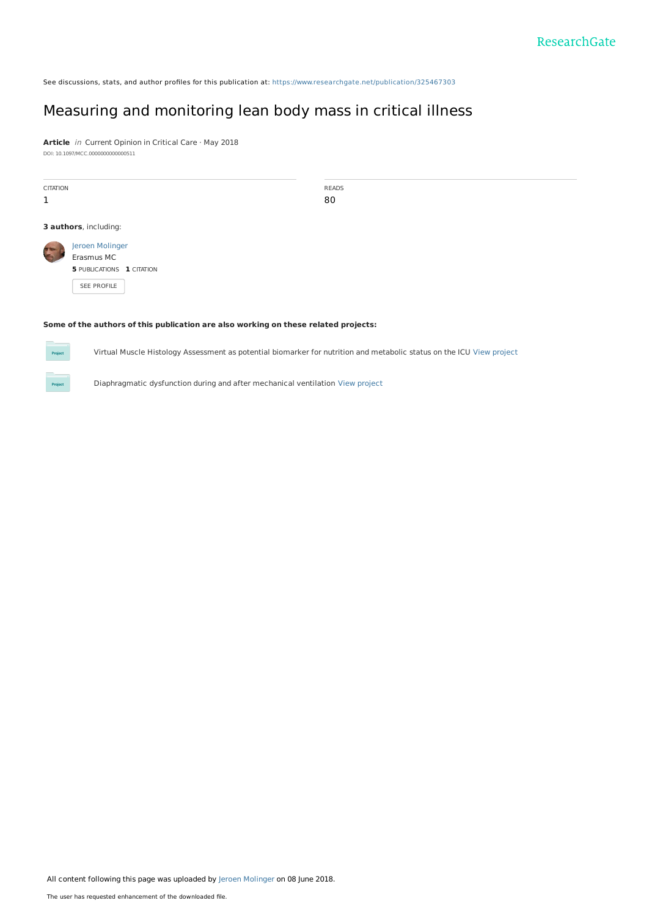See discussions, stats, and author profiles for this publication at: [https://www.researchgate.net/publication/325467303](https://www.researchgate.net/publication/325467303_Measuring_and_monitoring_lean_body_mass_in_critical_illness?enrichId=rgreq-e2436f2a96ef0f5b5af6b261ba817348-XXX&enrichSource=Y292ZXJQYWdlOzMyNTQ2NzMwMztBUzo2MzUxNDUwODIxMjIyNDZAMTUyODQ0MTc5NjU0NA%3D%3D&el=1_x_2&_esc=publicationCoverPdf)

# Measuring and [monitoring](https://www.researchgate.net/publication/325467303_Measuring_and_monitoring_lean_body_mass_in_critical_illness?enrichId=rgreq-e2436f2a96ef0f5b5af6b261ba817348-XXX&enrichSource=Y292ZXJQYWdlOzMyNTQ2NzMwMztBUzo2MzUxNDUwODIxMjIyNDZAMTUyODQ0MTc5NjU0NA%3D%3D&el=1_x_3&_esc=publicationCoverPdf) lean body mass in critical illness

**Article** in Current Opinion in Critical Care · May 2018 DOI: 10.1097/MCC.0000000000000511

| <b>CITATION</b><br>1                                                                |                                                            | <b>READS</b><br>80 |  |
|-------------------------------------------------------------------------------------|------------------------------------------------------------|--------------------|--|
|                                                                                     | 3 authors, including:                                      |                    |  |
|                                                                                     | Jeroen Molinger<br>Erasmus MC<br>5 PUBLICATIONS 1 CITATION |                    |  |
|                                                                                     | SEE PROFILE                                                |                    |  |
| Some of the authors of this publication are also working on these related projects: |                                                            |                    |  |

Virtual Muscle Histology Assessment as potential biomarker for nutrition and metabolic status on the ICU View [project](https://www.researchgate.net/project/Virtual-Muscle-Histology-Assessment-as-potential-biomarker-for-nutrition-and-metabolic-status-on-the-ICU?enrichId=rgreq-e2436f2a96ef0f5b5af6b261ba817348-XXX&enrichSource=Y292ZXJQYWdlOzMyNTQ2NzMwMztBUzo2MzUxNDUwODIxMjIyNDZAMTUyODQ0MTc5NjU0NA%3D%3D&el=1_x_9&_esc=publicationCoverPdf)

Diaphragmatic dysfunction during and after mechanical ventilation View [project](https://www.researchgate.net/project/Diaphragmatic-dysfunction-during-and-after-mechanical-ventilation?enrichId=rgreq-e2436f2a96ef0f5b5af6b261ba817348-XXX&enrichSource=Y292ZXJQYWdlOzMyNTQ2NzMwMztBUzo2MzUxNDUwODIxMjIyNDZAMTUyODQ0MTc5NjU0NA%3D%3D&el=1_x_9&_esc=publicationCoverPdf)

All content following this page was uploaded by Jeroen [Molinger](https://www.researchgate.net/profile/Jeroen_Molinger?enrichId=rgreq-e2436f2a96ef0f5b5af6b261ba817348-XXX&enrichSource=Y292ZXJQYWdlOzMyNTQ2NzMwMztBUzo2MzUxNDUwODIxMjIyNDZAMTUyODQ0MTc5NjU0NA%3D%3D&el=1_x_10&_esc=publicationCoverPdf) on 08 June 2018.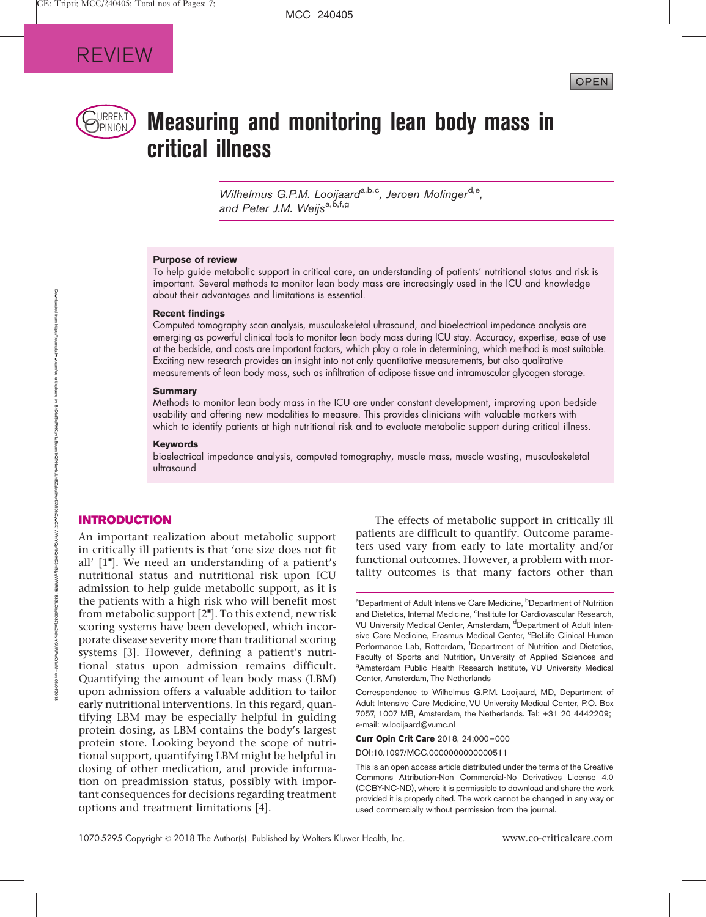

# $\mathbb{R}_{\text{PINION}}$  Measuring and monitoring lean body mass in critical illness

Wilhelmus G.P.M. Looijaard<sup>a,b,c</sup>, Jeroen Molinger<sup>d,e</sup>, and Peter J.M. Weijs<sup>a, b, f, g</sup>

#### Purpose of review

To help guide metabolic support in critical care, an understanding of patients' nutritional status and risk is important. Several methods to monitor lean body mass are increasingly used in the ICU and knowledge about their advantages and limitations is essential.

### Recent findings

Computed tomography scan analysis, musculoskeletal ultrasound, and bioelectrical impedance analysis are emerging as powerful clinical tools to monitor lean body mass during ICU stay. Accuracy, expertise, ease of use at the bedside, and costs are important factors, which play a role in determining, which method is most suitable. Exciting new research provides an insight into not only quantitative measurements, but also qualitative measurements of lean body mass, such as infiltration of adipose tissue and intramuscular glycogen storage.

#### **Summary**

Methods to monitor lean body mass in the ICU are under constant development, improving upon bedside usability and offering new modalities to measure. This provides clinicians with valuable markers with which to identify patients at high nutritional risk and to evaluate metabolic support during critical illness.

#### Keywords

bioelectrical impedance analysis, computed tomography, muscle mass, muscle wasting, musculoskeletal ultrasound

# INTRODUCTION

An important realization about metabolic support in critically ill patients is that 'one size does not fit all' [1"]. We need an understanding of a patient's nutritional status and nutritional risk upon ICU admission to help guide metabolic support, as it is the patients with a high risk who will benefit most from metabolic support [2"]. To this extend, new risk scoring systems have been developed, which incorporate disease severity more than traditional scoring systems [3]. However, defining a patient's nutritional status upon admission remains difficult. Quantifying the amount of lean body mass (LBM) upon admission offers a valuable addition to tailor early nutritional interventions. In this regard, quantifying LBM may be especially helpful in guiding protein dosing, as LBM contains the body's largest protein store. Looking beyond the scope of nutritional support, quantifying LBM might be helpful in dosing of other medication, and provide information on preadmission status, possibly with important consequences for decisions regarding treatment options and treatment limitations [4].

The effects of metabolic support in critically ill patients are difficult to quantify. Outcome parameters used vary from early to late mortality and/or functional outcomes. However, a problem with mortality outcomes is that many factors other than

Curr Opin Crit Care 2018, 24:000–000

DOI:10.1097/MCC.0000000000000511

This is an open access article distributed under the terms of the Creative Commons Attribution-Non Commercial-No Derivatives License 4.0 (CCBY-NC-ND), where it is permissible to download and share the work provided it is properly cited. The work cannot be changed in any way or used commercially without permission from the journal.

<sup>&</sup>lt;sup>a</sup>Department of Adult Intensive Care Medicine, <sup>b</sup>Department of Nutrition and Dietetics, Internal Medicine, <sup>c</sup>Institute for Cardiovascular Research, VU University Medical Center, Amsterdam, <sup>d</sup>Department of Adult Intensive Care Medicine, Erasmus Medical Center, <sup>e</sup>BeLife Clinical Human Performance Lab, Rotterdam, <sup>f</sup>Department of Nutrition and Dietetics, Faculty of Sports and Nutrition, University of Applied Sciences and <sup>g</sup>Amsterdam Public Health Research Institute, VU University Medical Center, Amsterdam, The Netherlands

Correspondence to Wilhelmus G.P.M. Looijaard, MD, Department of Adult Intensive Care Medicine, VU University Medical Center, P.O. Box 7057, 1007 MB, Amsterdam, the Netherlands. Tel: +31 20 4442209; e-mail: [w.looijaard@vumc.nl](mailto:w.looijaard@vumc.nl)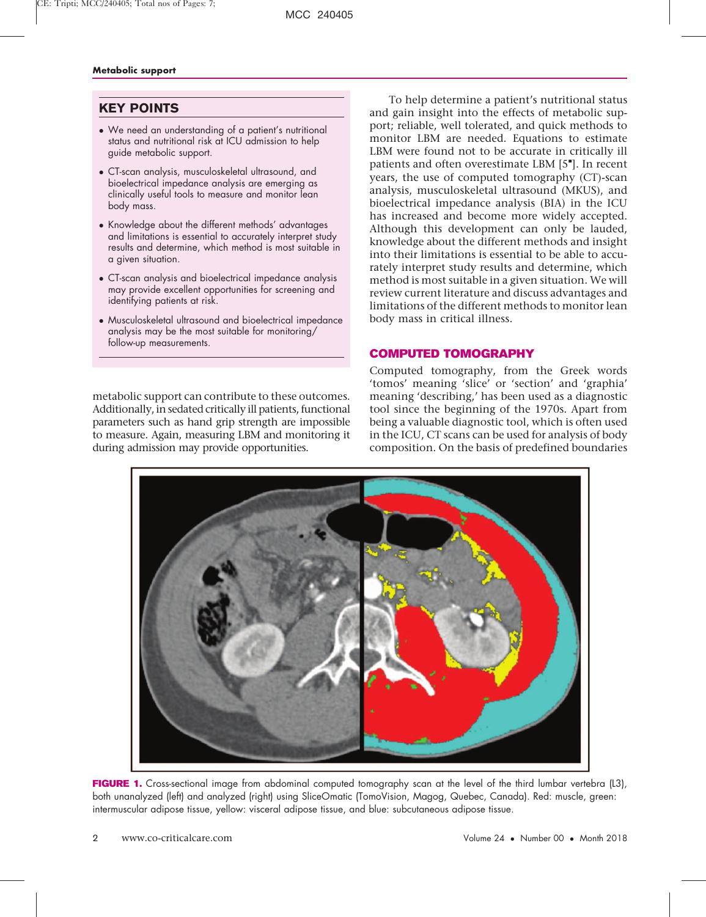# KEY POINTS

- We need an understanding of a patient's nutritional status and nutritional risk at ICU admission to help guide metabolic support.
- CT-scan analysis, musculoskeletal ultrasound, and bioelectrical impedance analysis are emerging as clinically useful tools to measure and monitor lean body mass.
- Knowledge about the different methods' advantages and limitations is essential to accurately interpret study results and determine, which method is most suitable in a given situation.
- CT-scan analysis and bioelectrical impedance analysis may provide excellent opportunities for screening and identifying patients at risk.
- Musculoskeletal ultrasound and bioelectrical impedance analysis may be the most suitable for monitoring/ follow-up measurements.

metabolic support can contribute to these outcomes. Additionally, in sedated critically ill patients, functional parameters such as hand grip strength are impossible to measure. Again, measuring LBM and monitoring it during admission may provide opportunities.

To help determine a patient's nutritional status and gain insight into the effects of metabolic support; reliable, well tolerated, and quick methods to monitor LBM are needed. Equations to estimate LBM were found not to be accurate in critically ill patients and often overestimate LBM [5"]. In recent years, the use of computed tomography (CT)-scan analysis, musculoskeletal ultrasound (MKUS), and bioelectrical impedance analysis (BIA) in the ICU has increased and become more widely accepted. Although this development can only be lauded, knowledge about the different methods and insight into their limitations is essential to be able to accurately interpret study results and determine, which method is most suitable in a given situation. We will review current literature and discuss advantages and limitations of the different methods to monitor lean body mass in critical illness.

# COMPUTED TOMOGRAPHY

Computed tomography, from the Greek words 'tomos' meaning 'slice' or 'section' and 'graphia' meaning 'describing,' has been used as a diagnostic tool since the beginning of the 1970s. Apart from being a valuable diagnostic tool, which is often used in the ICU, CT scans can be used for analysis of body composition. On the basis of predefined boundaries



FIGURE 1. Cross-sectional image from abdominal computed tomography scan at the level of the third lumbar vertebra (L3), both unanalyzed (left) and analyzed (right) using SliceOmatic (TomoVision, Magog, Quebec, Canada). Red: muscle, green: intermuscular adipose tissue, yellow: visceral adipose tissue, and blue: subcutaneous adipose tissue.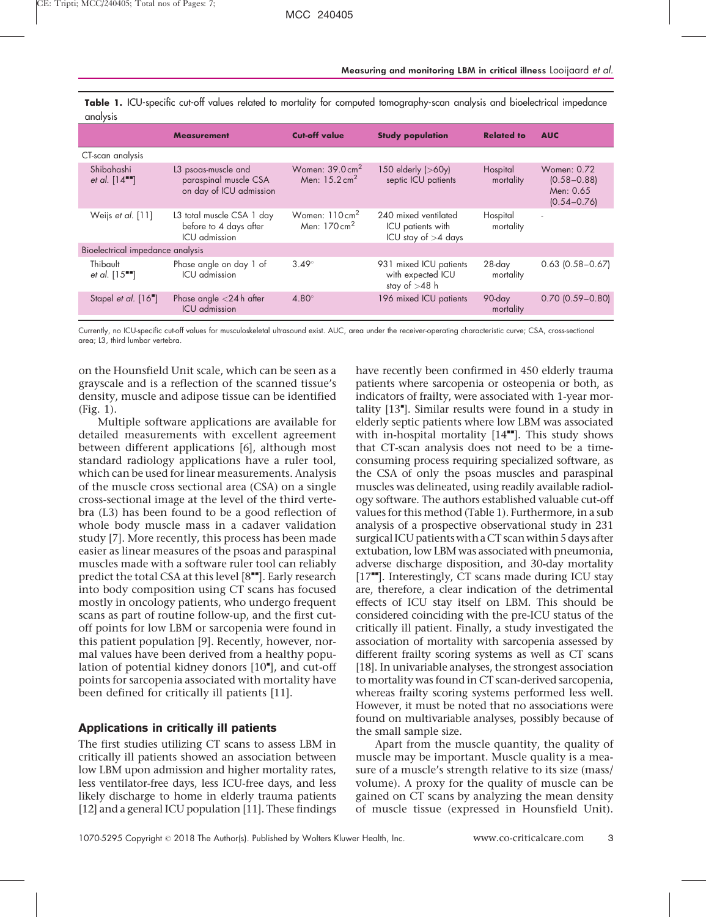|                                            | <b>Measurement</b>                                                      | <b>Cut-off value</b>                                   | <b>Study population</b>                                            | <b>Related to</b>     | <b>AUC</b>                                                     |
|--------------------------------------------|-------------------------------------------------------------------------|--------------------------------------------------------|--------------------------------------------------------------------|-----------------------|----------------------------------------------------------------|
| CT-scan analysis                           |                                                                         |                                                        |                                                                    |                       |                                                                |
| Shibahashi<br>et al. $[14$ <sup>-1</sup> ] | L3 psoas-muscle and<br>paraspinal muscle CSA<br>on day of ICU admission | Women: $39.0 \text{ cm}^2$<br>Men: $15.2 \text{ cm}^2$ | 150 elderly (>60y)<br>septic ICU patients                          | Hospital<br>mortality | Women: 0.72<br>$(0.58 - 0.88)$<br>Men: 0.65<br>$(0.54 - 0.76)$ |
| Weijs et al. [11]                          | L3 total muscle CSA 1 day<br>before to 4 days after<br>ICU admission    | Women: $110 \text{ cm}^2$<br>Men: $170 \text{ cm}^2$   | 240 mixed ventilated<br>ICU patients with<br>ICU stay of $>4$ days | Hospital<br>mortality | $\overline{\phantom{a}}$                                       |
| Bioelectrical impedance analysis           |                                                                         |                                                        |                                                                    |                       |                                                                |
| Thibault<br>et al. $[15$ <sup>----</sup> ] | Phase angle on day 1 of<br>ICU admission                                | $3.49^\circ$                                           | 931 mixed ICU patients<br>with expected ICU<br>stay of $>48$ h     | 28-day<br>mortality   | $0.63$ (0.58 - 0.67)                                           |
| Stapel et al. [16"]                        | Phase angle $<$ 24 h after<br>ICU admission                             | $4.80^\circ$                                           | 196 mixed ICU patients                                             | 90-day<br>mortality   | $0.70$ $(0.59 - 0.80)$                                         |

Table 1. ICU-specific cut-off values related to mortality for computed tomography-scan analysis and bioelectrical impedance analysis

Currently, no ICU-specific cut-off values for musculoskeletal ultrasound exist. AUC, area under the receiver-operating characteristic curve; CSA, cross-sectional area; L3, third lumbar vertebra.

on the Hounsfield Unit scale, which can be seen as a grayscale and is a reflection of the scanned tissue's density, muscle and adipose tissue can be identified (Fig. 1).

Multiple software applications are available for detailed measurements with excellent agreement between different applications [6], although most standard radiology applications have a ruler tool, which can be used for linear measurements. Analysis of the muscle cross sectional area (CSA) on a single cross-sectional image at the level of the third vertebra (L3) has been found to be a good reflection of whole body muscle mass in a cadaver validation study [7]. More recently, this process has been made easier as linear measures of the psoas and paraspinal muscles made with a software ruler tool can reliably predict the total CSA at this level [8""]. Early research into body composition using CT scans has focused mostly in oncology patients, who undergo frequent scans as part of routine follow-up, and the first cutoff points for low LBM or sarcopenia were found in this patient population [9]. Recently, however, normal values have been derived from a healthy population of potential kidney donors [10"], and cut-off points for sarcopenia associated with mortality have been defined for critically ill patients [11].

# Applications in critically ill patients

The first studies utilizing CT scans to assess LBM in critically ill patients showed an association between low LBM upon admission and higher mortality rates, less ventilator-free days, less ICU-free days, and less likely discharge to home in elderly trauma patients [12] and a general ICU population [11]. These findings have recently been confirmed in 450 elderly trauma patients where sarcopenia or osteopenia or both, as indicators of frailty, were associated with 1-year mortality [13"]. Similar results were found in a study in elderly septic patients where low LBM was associated with in-hospital mortality  $[14$ <sup> $H$ </sup>. This study shows that CT-scan analysis does not need to be a timeconsuming process requiring specialized software, as the CSA of only the psoas muscles and paraspinal muscles was delineated, using readily available radiology software. The authors established valuable cut-off values for this method (Table 1). Furthermore, in a sub analysis of a prospective observational study in 231 surgical ICU patientswith a CT scan within 5 days after extubation, low LBM was associated with pneumonia, adverse discharge disposition, and 30-day mortality  $[17$ <sup> $\blacksquare$ </sup>. Interestingly, CT scans made during ICU stay are, therefore, a clear indication of the detrimental effects of ICU stay itself on LBM. This should be considered coinciding with the pre-ICU status of the critically ill patient. Finally, a study investigated the association of mortality with sarcopenia assessed by different frailty scoring systems as well as CT scans [18]. In univariable analyses, the strongest association to mortality was found in CT scan-derived sarcopenia, whereas frailty scoring systems performed less well. However, it must be noted that no associations were found on multivariable analyses, possibly because of the small sample size.

Apart from the muscle quantity, the quality of muscle may be important. Muscle quality is a measure of a muscle's strength relative to its size (mass/ volume). A proxy for the quality of muscle can be gained on CT scans by analyzing the mean density of muscle tissue (expressed in Hounsfield Unit).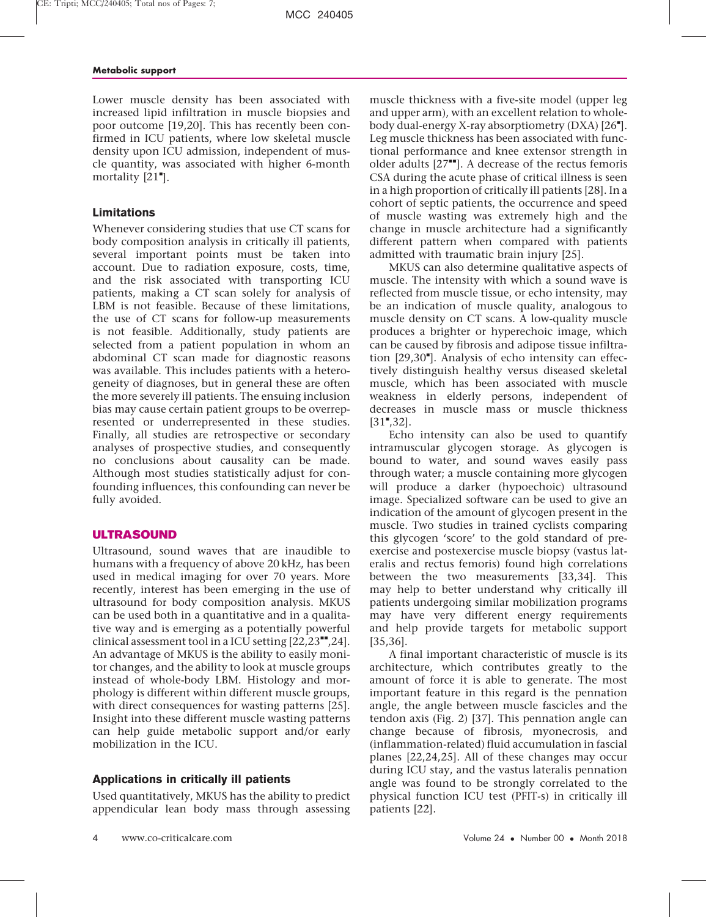Lower muscle density has been associated with increased lipid infiltration in muscle biopsies and poor outcome [19,20]. This has recently been confirmed in ICU patients, where low skeletal muscle density upon ICU admission, independent of muscle quantity, was associated with higher 6-month mortality [21"].

# Limitations

Whenever considering studies that use CT scans for body composition analysis in critically ill patients, several important points must be taken into account. Due to radiation exposure, costs, time, and the risk associated with transporting ICU patients, making a CT scan solely for analysis of LBM is not feasible. Because of these limitations, the use of CT scans for follow-up measurements is not feasible. Additionally, study patients are selected from a patient population in whom an abdominal CT scan made for diagnostic reasons was available. This includes patients with a heterogeneity of diagnoses, but in general these are often the more severely ill patients. The ensuing inclusion bias may cause certain patient groups to be overrepresented or underrepresented in these studies. Finally, all studies are retrospective or secondary analyses of prospective studies, and consequently no conclusions about causality can be made. Although most studies statistically adjust for confounding influences, this confounding can never be fully avoided.

# ULTRASOUND

Ultrasound, sound waves that are inaudible to humans with a frequency of above 20 kHz, has been used in medical imaging for over 70 years. More recently, interest has been emerging in the use of ultrasound for body composition analysis. MKUS can be used both in a quantitative and in a qualitative way and is emerging as a potentially powerful clinical assessment tool in a ICU setting  $[22,23^{\bullet\bullet},24]$ . An advantage of MKUS is the ability to easily monitor changes, and the ability to look at muscle groups instead of whole-body LBM. Histology and morphology is different within different muscle groups, with direct consequences for wasting patterns [25]. Insight into these different muscle wasting patterns can help guide metabolic support and/or early mobilization in the ICU.

# Applications in critically ill patients

Used quantitatively, MKUS has the ability to predict appendicular lean body mass through assessing

muscle thickness with a five-site model (upper leg and upper arm), with an excellent relation to wholebody dual-energy X-ray absorptiometry (DXA) [26"]. Leg muscle thickness has been associated with functional performance and knee extensor strength in older adults  $[27^{\bullet\bullet}]$ . A decrease of the rectus femoris CSA during the acute phase of critical illness is seen in a high proportion of critically ill patients [28]. In a cohort of septic patients, the occurrence and speed of muscle wasting was extremely high and the change in muscle architecture had a significantly different pattern when compared with patients admitted with traumatic brain injury [25].

MKUS can also determine qualitative aspects of muscle. The intensity with which a sound wave is reflected from muscle tissue, or echo intensity, may be an indication of muscle quality, analogous to muscle density on CT scans. A low-quality muscle produces a brighter or hyperechoic image, which can be caused by fibrosis and adipose tissue infiltration [29,30"]. Analysis of echo intensity can effectively distinguish healthy versus diseased skeletal muscle, which has been associated with muscle weakness in elderly persons, independent of decreases in muscle mass or muscle thickness  $[31", 32]$ .

Echo intensity can also be used to quantify intramuscular glycogen storage. As glycogen is bound to water, and sound waves easily pass through water; a muscle containing more glycogen will produce a darker (hypoechoic) ultrasound image. Specialized software can be used to give an indication of the amount of glycogen present in the muscle. Two studies in trained cyclists comparing this glycogen 'score' to the gold standard of preexercise and postexercise muscle biopsy (vastus lateralis and rectus femoris) found high correlations between the two measurements [33,34]. This may help to better understand why critically ill patients undergoing similar mobilization programs may have very different energy requirements and help provide targets for metabolic support [35,36].

A final important characteristic of muscle is its architecture, which contributes greatly to the amount of force it is able to generate. The most important feature in this regard is the pennation angle, the angle between muscle fascicles and the tendon axis (Fig. 2) [37]. This pennation angle can change because of fibrosis, myonecrosis, and (inflammation-related) fluid accumulation in fascial planes [22,24,25]. All of these changes may occur during ICU stay, and the vastus lateralis pennation angle was found to be strongly correlated to the physical function ICU test (PFIT-s) in critically ill patients [22].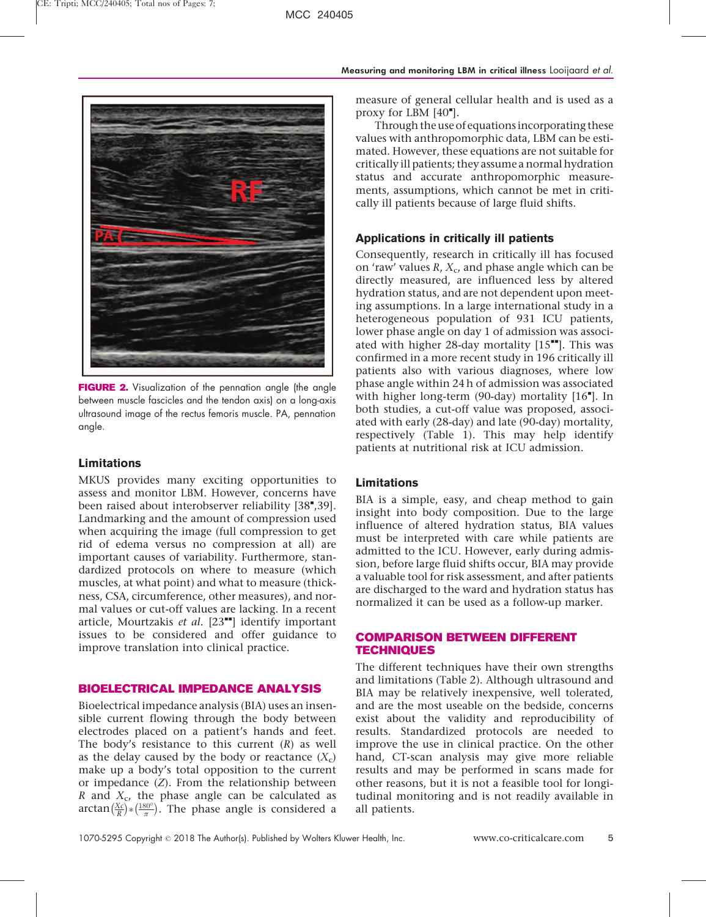

FIGURE 2. Visualization of the pennation angle (the angle between muscle fascicles and the tendon axis) on a long-axis ultrasound image of the rectus femoris muscle. PA, pennation angle.

# Limitations

MKUS provides many exciting opportunities to assess and monitor LBM. However, concerns have been raised about interobserver reliability [38",39]. Landmarking and the amount of compression used when acquiring the image (full compression to get rid of edema versus no compression at all) are important causes of variability. Furthermore, standardized protocols on where to measure (which muscles, at what point) and what to measure (thickness, CSA, circumference, other measures), and normal values or cut-off values are lacking. In a recent article, Mourtzakis et al.  $[23$ <sup>\*\*</sup>] identify important issues to be considered and offer guidance to improve translation into clinical practice.

## BIOELECTRICAL IMPEDANCE ANALYSIS

Bioelectrical impedance analysis (BIA) uses an insensible current flowing through the body between electrodes placed on a patient's hands and feet. The body's resistance to this current  $(R)$  as well as the delay caused by the body or reactance  $(X_c)$ make up a body's total opposition to the current or impedance  $(Z)$ . From the relationship between R and  $X_c$ , the phase angle can be calculated as arctan $(\frac{Xc}{R}$  $\left(\frac{X_c}{R}\right) * \left(\frac{180^\circ}{\pi}\right)$  $\frac{180^\circ}{\pi}$ . The phase angle is considered a

measure of general cellular health and is used as a proxy for LBM  $[40<sup>•</sup>]$ .

Through the use of equations incorporating these values with anthropomorphic data, LBM can be estimated. However, these equations are not suitable for critically ill patients; they assume a normal hydration status and accurate anthropomorphic measurements, assumptions, which cannot be met in critically ill patients because of large fluid shifts.

# Applications in critically ill patients

Consequently, research in critically ill has focused on 'raw' values  $R$ ,  $X_c$ , and phase angle which can be directly measured, are influenced less by altered hydration status, and are not dependent upon meeting assumptions. In a large international study in a heterogeneous population of 931 ICU patients, lower phase angle on day 1 of admission was associated with higher 28-day mortality  $[15"']$ . This was confirmed in a more recent study in 196 critically ill patients also with various diagnoses, where low phase angle within 24 h of admission was associated with higher long-term (90-day) mortality [16"]. In both studies, a cut-off value was proposed, associated with early (28-day) and late (90-day) mortality, respectively (Table 1). This may help identify patients at nutritional risk at ICU admission.

## Limitations

BIA is a simple, easy, and cheap method to gain insight into body composition. Due to the large influence of altered hydration status, BIA values must be interpreted with care while patients are admitted to the ICU. However, early during admission, before large fluid shifts occur, BIA may provide a valuable tool for risk assessment, and after patients are discharged to the ward and hydration status has normalized it can be used as a follow-up marker.

# COMPARISON BETWEEN DIFFERENT TECHNIQUES

The different techniques have their own strengths and limitations (Table 2). Although ultrasound and BIA may be relatively inexpensive, well tolerated, and are the most useable on the bedside, concerns exist about the validity and reproducibility of results. Standardized protocols are needed to improve the use in clinical practice. On the other hand, CT-scan analysis may give more reliable results and may be performed in scans made for other reasons, but it is not a feasible tool for longitudinal monitoring and is not readily available in all patients.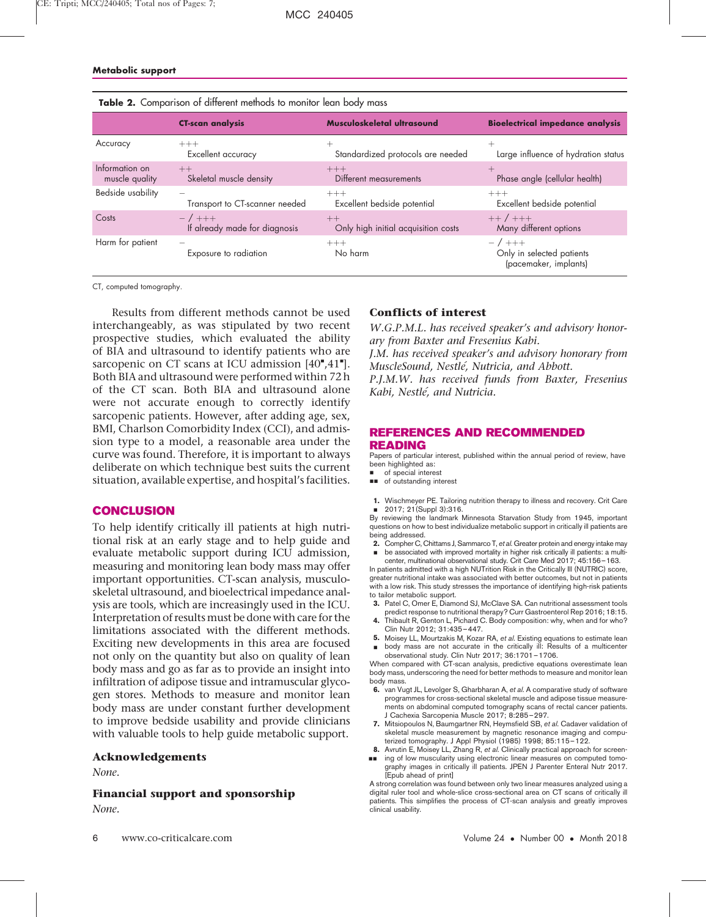|                                  | <b>CT-scan analysis</b>                   | Musculoskeletal ultrasound                  | <b>Bioelectrical impedance analysis</b>                        |
|----------------------------------|-------------------------------------------|---------------------------------------------|----------------------------------------------------------------|
| Accuracy                         | $+++$<br>Excellent accuracy               | Standardized protocols are needed           | Large influence of hydration status                            |
| Information on<br>muscle quality | $++$<br>Skeletal muscle density           | $+++$<br>Different measurements             | Phase angle (cellular health)                                  |
| Bedside usability                | Transport to CT-scanner needed            | $+++$<br>Excellent bedside potential        | $+++$<br>Excellent bedside potential                           |
| Costs                            | $-7$ +++<br>If already made for diagnosis | $++$<br>Only high initial acquisition costs | $++/+++$<br>Many different options                             |
| Harm for patient                 | Exposure to radiation                     | $+++$<br>No harm                            | $-7$ +++<br>Only in selected patients<br>(pacemaker, implants) |

|  | <b>Table 2.</b> Comparison of different methods to monitor lean body mass |  |  |  |  |  |
|--|---------------------------------------------------------------------------|--|--|--|--|--|
|--|---------------------------------------------------------------------------|--|--|--|--|--|

CT, computed tomography.

Results from different methods cannot be used interchangeably, as was stipulated by two recent prospective studies, which evaluated the ability of BIA and ultrasound to identify patients who are sarcopenic on CT scans at ICU admission [40",41"]. Both BIA and ultrasound were performed within 72 h of the CT scan. Both BIA and ultrasound alone were not accurate enough to correctly identify sarcopenic patients. However, after adding age, sex, BMI, Charlson Comorbidity Index (CCI), and admission type to a model, a reasonable area under the curve was found. Therefore, it is important to always deliberate on which technique best suits the current situation, available expertise, and hospital's facilities.

### CONCLUSION

To help identify critically ill patients at high nutritional risk at an early stage and to help guide and evaluate metabolic support during ICU admission, measuring and monitoring lean body mass may offer important opportunities. CT-scan analysis, musculoskeletal ultrasound, and bioelectrical impedance analysis are tools, which are increasingly used in the ICU. Interpretation of results must be done with care for the limitations associated with the different methods. Exciting new developments in this area are focused not only on the quantity but also on quality of lean body mass and go as far as to provide an insight into infiltration of adipose tissue and intramuscular glycogen stores. Methods to measure and monitor lean body mass are under constant further development to improve bedside usability and provide clinicians with valuable tools to help guide metabolic support.

#### Acknowledgements

None.

Financial support and sponsorship None.

### Conflicts of interest

W.G.P.M.L. has received speaker's and advisory honorary from Baxter and Fresenius Kabi.

J.M. has received speaker's and advisory honorary from MuscleSound, Nestlé, Nutricia, and Abbott.

P.J.M.W. has received funds from Baxter, Fresenius Kabi, Nestlé, and Nutricia.

#### REFERENCES AND RECOMMENDED READING

Papers of particular interest, published within the annual period of review, have been highlighted as:

- of special interest
- $\Box$  of outstanding interest
- 1. Wischmeyer PE. Tailoring nutrition therapy to illness and recovery. Crit Care & 2017; 21(Suppl 3):316.

By reviewing the landmark Minnesota Starvation Study from 1945, important questions on how to best individualize metabolic support in critically ill patients are being addressed.

2. & Compher C, Chittams J, Sammarco T, et al. Greater protein and energy intake may be associated with improved mortality in higher risk critically ill patients: a multi-

center, multinational observational study. Crit Care Med 2017; 45:156–163. In patients admitted with a high NUTrition Risk in the Critically Ill (NUTRIC) score, greater nutritional intake was associated with better outcomes, but not in patients with a low risk. This study stresses the importance of identifying high-risk patients to tailor metabolic support.

- 3. Patel C, Omer E, Diamond SJ, McClave SA. Can nutritional assessment tools predict response to nutritional therapy? Curr Gastroenterol Rep 2016; 18:15.
- 4. Thibault R, Genton L, Pichard C. Body composition: why, when and for who? Clin Nutr 2012; 31:435–447.
- **5.** Moisey LL, Mourtzakis M, Kozar RA, et al. Existing equations to estimate lean & body mass are not accurate in the critically ill: Results of a multicenter observational study. Clin Nutr 2017; 36:1701–1706.

When compared with CT-scan analysis, predictive equations overestimate lean body mass, underscoring the need for better methods to measure and monitor lean body mass.

- 6. van Vugt JL, Levolger S, Gharbharan A, et al. A comparative study of software programmes for cross-sectional skeletal muscle and adipose tissue measurements on abdominal computed tomography scans of rectal cancer patients. J Cachexia Sarcopenia Muscle 2017; 8:285–297.
- 7. Mitsiopoulos N, Baumgartner RN, Heymsfield SB, et al. Cadaver validation of skeletal muscle measurement by magnetic resonance imaging and computerized tomography. J Appl Physiol (1985) 1998; 85:115–122.
- 8. Avrutin E, Moisey LL, Zhang R, et al. Clinically practical approach for screen-&& ing of low muscularity using electronic linear measures on computed tomography images in critically ill patients. JPEN J Parenter Enteral Nutr 2017. [Epub ahead of print]

A strong correlation was found between only two linear measures analyzed using a digital ruler tool and whole-slice cross-sectional area on CT scans of critically ill patients. This simplifies the process of CT-scan analysis and greatly improves clinical usability.